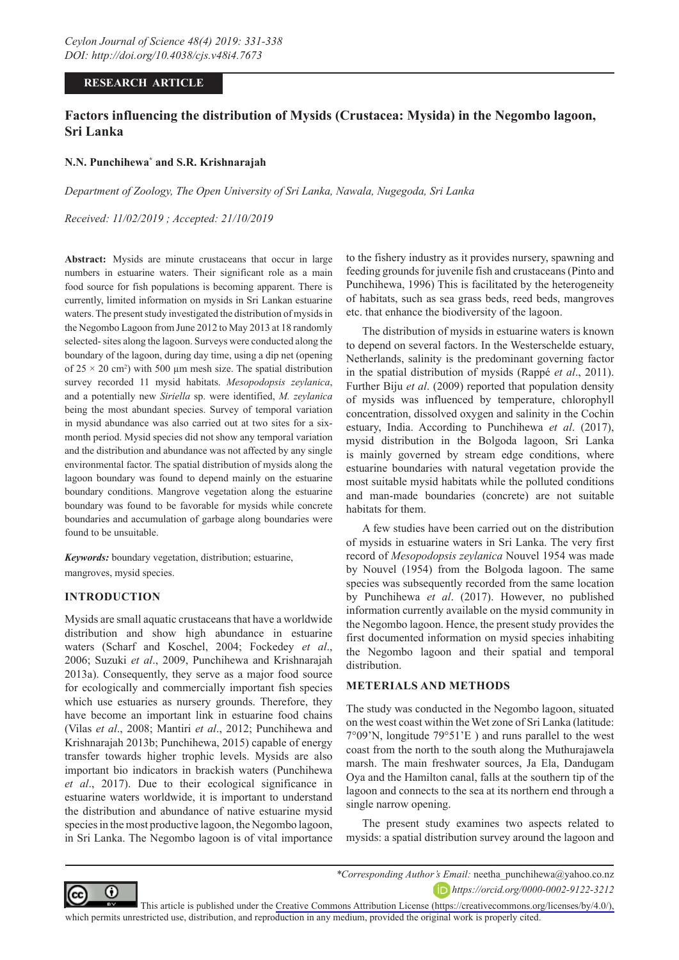## **RESEARCH ARTICLE**

# **Factors influencing the distribution of Mysids (Crustacea: Mysida) in the Negombo lagoon, Sri Lanka**

### **N.N. Punchihewa\* and S.R. Krishnarajah**

*Department of Zoology, The Open University of Sri Lanka, Nawala, Nugegoda, Sri Lanka*

*Received: 11/02/2019 ; Accepted: 21/10/2019*

**Abstract:** Mysids are minute crustaceans that occur in large numbers in estuarine waters. Their significant role as a main food source for fish populations is becoming apparent. There is currently, limited information on mysids in Sri Lankan estuarine waters. The present study investigated the distribution of mysids in the Negombo Lagoon from June 2012 to May 2013 at 18 randomly selected- sites along the lagoon. Surveys were conducted along the boundary of the lagoon, during day time, using a dip net (opening of  $25 \times 20$  cm<sup>2</sup>) with 500 µm mesh size. The spatial distribution survey recorded 11 mysid habitats. *Mesopodopsis zeylanica*, and a potentially new *Siriella* sp. were identified, *M. zeylanica* being the most abundant species. Survey of temporal variation in mysid abundance was also carried out at two sites for a sixmonth period. Mysid species did not show any temporal variation and the distribution and abundance was not affected by any single environmental factor. The spatial distribution of mysids along the lagoon boundary was found to depend mainly on the estuarine boundary conditions. Mangrove vegetation along the estuarine boundary was found to be favorable for mysids while concrete boundaries and accumulation of garbage along boundaries were found to be unsuitable.

*Keywords:* boundary vegetation, distribution; estuarine, mangroves, mysid species.

### **INTRODUCTION**

Mysids are small aquatic crustaceans that have a worldwide distribution and show high abundance in estuarine waters (Scharf and Koschel, 2004; Fockedey *et al*., 2006; Suzuki *et al*., 2009, Punchihewa and Krishnarajah 2013a). Consequently, they serve as a major food source for ecologically and commercially important fish species which use estuaries as nursery grounds. Therefore, they have become an important link in estuarine food chains (Vilas *et al*., 2008; Mantiri *et al*., 2012; Punchihewa and Krishnarajah 2013b; Punchihewa, 2015) capable of energy transfer towards higher trophic levels. Mysids are also important bio indicators in brackish waters (Punchihewa *et al*., 2017). Due to their ecological significance in estuarine waters worldwide, it is important to understand the distribution and abundance of native estuarine mysid species in the most productive lagoon, the Negombo lagoon, in Sri Lanka. The Negombo lagoon is of vital importance to the fishery industry as it provides nursery, spawning and feeding grounds for juvenile fish and crustaceans (Pinto and Punchihewa, 1996) This is facilitated by the heterogeneity of habitats, such as sea grass beds, reed beds, mangroves etc. that enhance the biodiversity of the lagoon.

The distribution of mysids in estuarine waters is known to depend on several factors. In the Westerschelde estuary, Netherlands, salinity is the predominant governing factor in the spatial distribution of mysids (Rappé *et al*., 2011). Further Biju *et al*. (2009) reported that population density of mysids was influenced by temperature, chlorophyll concentration, dissolved oxygen and salinity in the Cochin estuary, India. According to Punchihewa *et al*. (2017), mysid distribution in the Bolgoda lagoon, Sri Lanka is mainly governed by stream edge conditions, where estuarine boundaries with natural vegetation provide the most suitable mysid habitats while the polluted conditions and man-made boundaries (concrete) are not suitable habitats for them.

A few studies have been carried out on the distribution of mysids in estuarine waters in Sri Lanka. The very first record of *Mesopodopsis zeylanica* Nouvel 1954 was made by Nouvel (1954) from the Bolgoda lagoon. The same species was subsequently recorded from the same location by Punchihewa *et al*. (2017). However, no published information currently available on the mysid community in the Negombo lagoon. Hence, the present study provides the first documented information on mysid species inhabiting the Negombo lagoon and their spatial and temporal distribution.

## **METERIALS AND METHODS**

The study was conducted in the Negombo lagoon, situated on the west coast within the Wet zone of Sri Lanka (latitude: 7°09'N, longitude 79°51'E ) and runs parallel to the west coast from the north to the south along the Muthurajawela marsh. The main freshwater sources, Ja Ela, Dandugam Oya and the Hamilton canal, falls at the southern tip of the lagoon and connects to the sea at its northern end through a single narrow opening.

The present study examines two aspects related to mysids: a spatial distribution survey around the lagoon and



*\*Corresponding Author's Email:* neetha\_punchihewa@yahoo.co.nz *https://orcid.org/0000-0002-9122-3212*

This article is published under the [Creative Commons Attribution License \(https://creativecommons.org/licenses/by/4.0/\),](https://creativecommons.org/licenses/by/4.0/)  which permits unrestricted use, distribution, and reproduction in any medium, provided the original work is properly cited.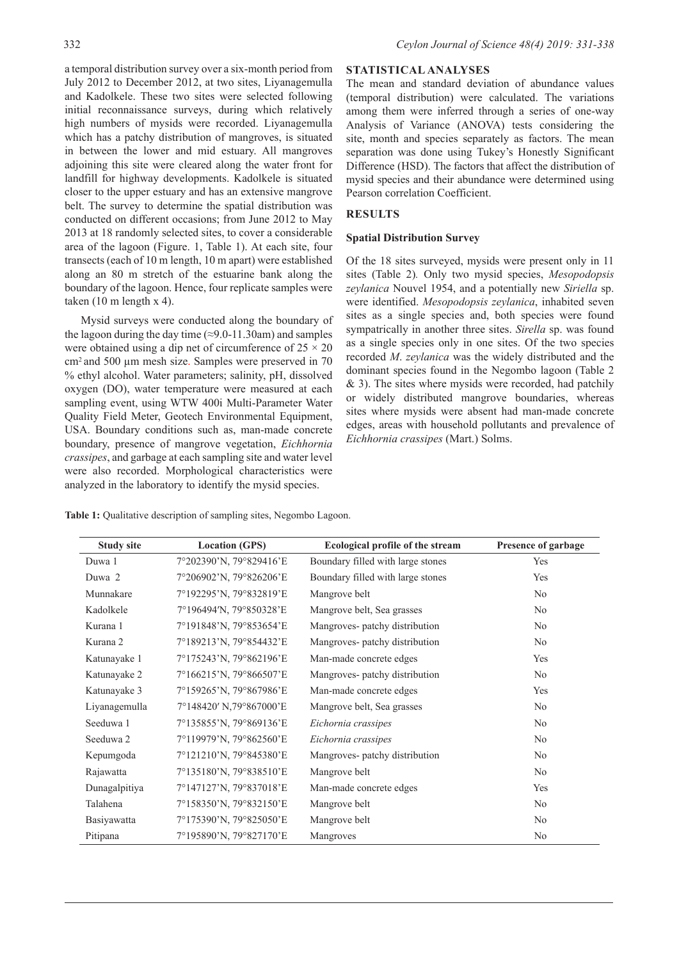a temporal distribution survey over a six-month period from July 2012 to December 2012, at two sites, Liyanagemulla and Kadolkele. These two sites were selected following initial reconnaissance surveys, during which relatively high numbers of mysids were recorded. Liyanagemulla which has a patchy distribution of mangroves, is situated in between the lower and mid estuary. All mangroves adjoining this site were cleared along the water front for landfill for highway developments. Kadolkele is situated closer to the upper estuary and has an extensive mangrove belt. The survey to determine the spatial distribution was conducted on different occasions; from June 2012 to May 2013 at 18 randomly selected sites, to cover a considerable area of the lagoon (Figure. 1, Table 1). At each site, four transects (each of 10 m length, 10 m apart) were established along an 80 m stretch of the estuarine bank along the boundary of the lagoon. Hence, four replicate samples were taken (10 m length x 4).

Mysid surveys were conducted along the boundary of the lagoon during the day time ( $\approx$ 9.0-11.30am) and samples were obtained using a dip net of circumference of  $25 \times 20$ cm2 and 500 µm mesh size. Samples were preserved in 70 % ethyl alcohol. Water parameters; salinity, pH, dissolved oxygen (DO), water temperature were measured at each sampling event, using WTW 400i Multi-Parameter Water Quality Field Meter, Geotech Environmental Equipment, USA. Boundary conditions such as, man-made concrete boundary, presence of mangrove vegetation, *Eichhornia crassipes*, and garbage at each sampling site and water level were also recorded. Morphological characteristics were analyzed in the laboratory to identify the mysid species.

## **STATISTICAL ANALYSES**

The mean and standard deviation of abundance values (temporal distribution) were calculated. The variations among them were inferred through a series of one-way Analysis of Variance (ANOVA) tests considering the site, month and species separately as factors. The mean separation was done using Tukey's Honestly Significant Difference (HSD). The factors that affect the distribution of mysid species and their abundance were determined using Pearson correlation Coefficient.

# **RESULTS**

## **Spatial Distribution Survey**

Of the 18 sites surveyed, mysids were present only in 11 sites (Table 2)*.* Only two mysid species, *Mesopodopsis zeylanica* Nouvel 1954, and a potentially new *Siriella* sp. were identified. *Mesopodopsis zeylanica*, inhabited seven sites as a single species and, both species were found sympatrically in another three sites. *Sirella* sp. was found as a single species only in one sites. Of the two species recorded *M*. *zeylanica* was the widely distributed and the dominant species found in the Negombo lagoon (Table 2 & 3). The sites where mysids were recorded, had patchily or widely distributed mangrove boundaries, whereas sites where mysids were absent had man-made concrete edges, areas with household pollutants and prevalence of *Eichhornia crassipes* (Mart.) Solms.

|  |  |  | Table 1: Qualitative description of sampling sites, Negombo Lagoon. |  |  |  |  |
|--|--|--|---------------------------------------------------------------------|--|--|--|--|
|--|--|--|---------------------------------------------------------------------|--|--|--|--|

| <b>Study site</b> | <b>Location (GPS)</b>   | <b>Ecological profile of the stream</b> | Presence of garbage |
|-------------------|-------------------------|-----------------------------------------|---------------------|
| Duwa 1            | 7°202390'N, 79°829416'E | Boundary filled with large stones       | Yes                 |
| Duwa 2            | 7°206902'N, 79°826206'E | Boundary filled with large stones       | Yes                 |
| Munnakare         | 7°192295'N, 79°832819'E | Mangrove belt                           | No                  |
| Kadolkele         | 7°196494'N, 79°850328'E | Mangrove belt, Sea grasses              | N <sub>0</sub>      |
| Kurana 1          | 7°191848'N, 79°853654'E | Mangroves- patchy distribution          | N <sub>0</sub>      |
| Kurana 2          | 7°189213'N, 79°854432'E | Mangroves- patchy distribution          | No                  |
| Katunayake 1      | 7°175243'N, 79°862196'E | Man-made concrete edges                 | Yes                 |
| Katunayake 2      | 7°166215'N, 79°866507'E | Mangroves- patchy distribution          | N <sub>0</sub>      |
| Katunayake 3      | 7°159265'N, 79°867986'E | Man-made concrete edges                 | Yes                 |
| Liyanagemulla     | 7°148420' N,79°867000'E | Mangrove belt, Sea grasses              | N <sub>0</sub>      |
| Seeduwa 1         | 7°135855'N, 79°869136'E | Eichornia crassipes                     | N <sub>0</sub>      |
| Seeduwa 2         | 7°119979'N, 79°862560'E | Eichornia crassipes                     | N <sub>0</sub>      |
| Kepumgoda         | 7°121210'N, 79°845380'E | Mangroves- patchy distribution          | N <sub>0</sub>      |
| Rajawatta         | 7°135180'N, 79°838510'E | Mangrove belt                           | N <sub>0</sub>      |
| Dunagalpitiya     | 7°147127'N, 79°837018'E | Man-made concrete edges                 | Yes                 |
| Talahena          | 7°158350'N, 79°832150'E | Mangrove belt                           | N <sub>0</sub>      |
| Basiyawatta       | 7°175390'N, 79°825050'E | Mangrove belt                           | N <sub>0</sub>      |
| Pitipana          | 7°195890'N, 79°827170'E | Mangroves                               | N <sub>0</sub>      |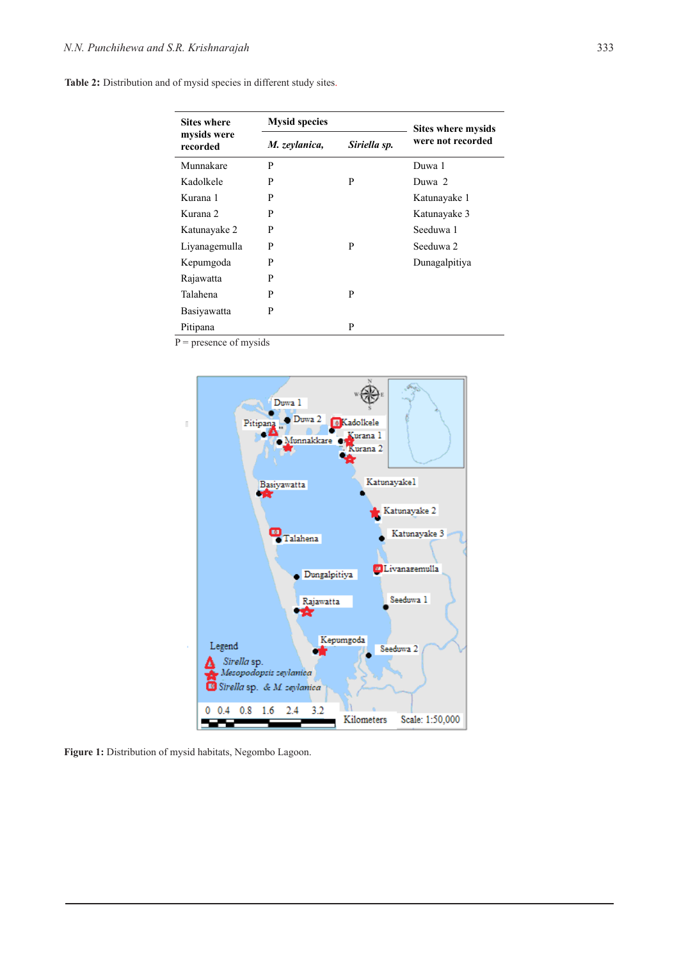| <b>Sites where</b>      | <b>Mysid species</b> | <b>Sites where mysids</b> |                   |  |  |
|-------------------------|----------------------|---------------------------|-------------------|--|--|
| mysids were<br>recorded | M. zeylanica,        | Siriella sp.              | were not recorded |  |  |
| Munnakare               | P                    |                           | Duwa 1            |  |  |
| Kadolkele               | P                    | P                         | Duwa 2            |  |  |
| Kurana 1                | P                    |                           | Katunayake 1      |  |  |
| Kurana 2                | P                    |                           | Katunayake 3      |  |  |
| Katunayake 2            | P                    |                           | Seeduwa 1         |  |  |
| Liyanagemulla           | P                    | P                         | Seeduwa 2         |  |  |
| Kepumgoda               | P                    |                           | Dunagalpitiya     |  |  |
| Rajawatta               | P                    |                           |                   |  |  |
| Talahena                | P                    | P                         |                   |  |  |
| Basiyawatta             | P                    |                           |                   |  |  |
| Pitipana                |                      | P                         |                   |  |  |

 $P$  = presence of mysids



**Figure 1:** Distribution of mysid habitats, Negombo Lagoon.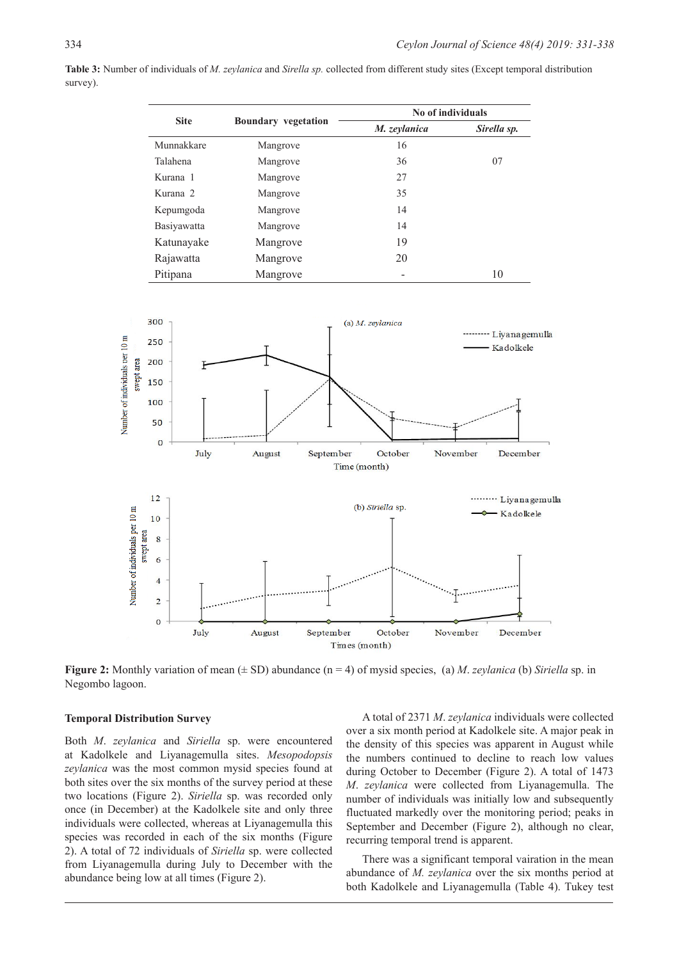**Table 3:** Number of individuals of *M. zeylanica* and *Sirella sp.* collected from different study sites (Except temporal distribution survey).

| <b>Site</b> |                            | No of individuals |             |  |  |
|-------------|----------------------------|-------------------|-------------|--|--|
|             | <b>Boundary</b> vegetation | M. zeylanica      | Sirella sp. |  |  |
| Munnakkare  | Mangrove                   | 16                |             |  |  |
| Talahena    | Mangrove                   | 36                | 07          |  |  |
| Kurana 1    | Mangrove                   | 27                |             |  |  |
| Kurana 2    | Mangrove                   | 35                |             |  |  |
| Kepumgoda   | Mangrove                   | 14                |             |  |  |
| Basiyawatta | Mangrove                   | 14                |             |  |  |
| Katunayake  | Mangrove                   | 19                |             |  |  |
| Rajawatta   | Mangrove                   | 20                |             |  |  |
| Pitipana    | Mangrove                   |                   | 10          |  |  |



**Figure 2:** Monthly variation of mean  $(\pm SD)$  abundance  $(n = 4)$  of mysid species, (a) *M. zeylanica* (b) *Siriella* sp. in Negombo lagoon.

#### **Temporal Distribution Survey**

Both *M*. *zeylanica* and *Siriella* sp. were encountered at Kadolkele and Liyanagemulla sites. *Mesopodopsis zeylanica* was the most common mysid species found at both sites over the six months of the survey period at these two locations (Figure 2). *Siriella* sp. was recorded only once (in December) at the Kadolkele site and only three individuals were collected, whereas at Liyanagemulla this species was recorded in each of the six months (Figure 2). A total of 72 individuals of *Siriella* sp. were collected from Liyanagemulla during July to December with the abundance being low at all times (Figure 2).

A total of 2371 *M*. *zeylanica* individuals were collected over a six month period at Kadolkele site. A major peak in the density of this species was apparent in August while the numbers continued to decline to reach low values during October to December (Figure 2). A total of 1473 *M*. *zeylanica* were collected from Liyanagemulla. The number of individuals was initially low and subsequently fluctuated markedly over the monitoring period; peaks in September and December (Figure 2), although no clear, recurring temporal trend is apparent.

There was a significant temporal vairation in the mean abundance of *M. zeylanica* over the six months period at both Kadolkele and Liyanagemulla (Table 4). Tukey test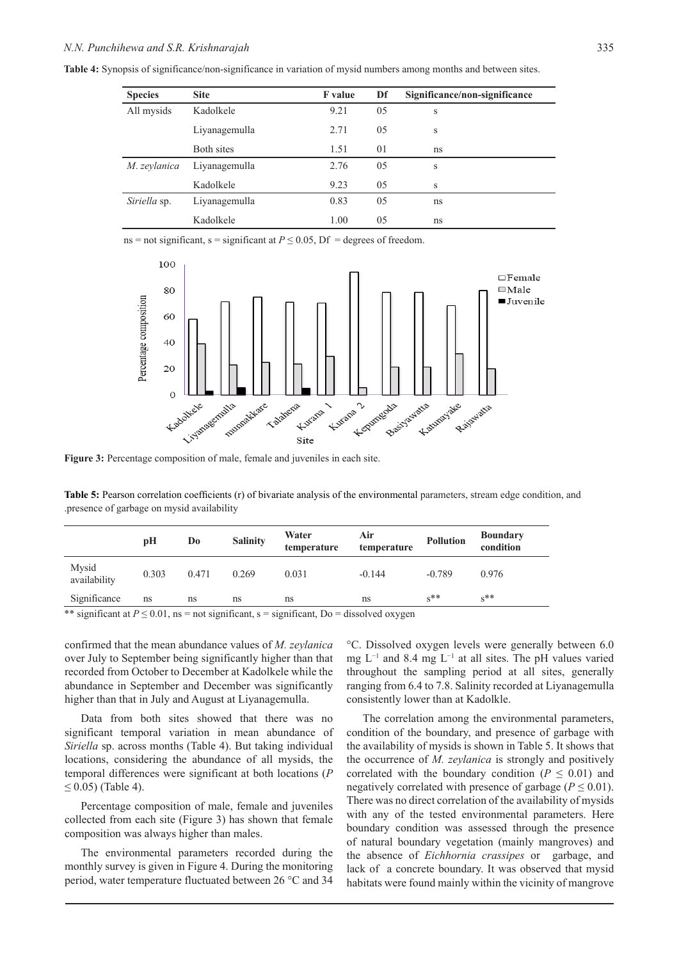**Table 4:** Synopsis of significance/non-significance in variation of mysid numbers among months and between sites.

| <b>Species</b> | <b>Site</b>   | <b>F</b> value | Df             | Significance/non-significance |
|----------------|---------------|----------------|----------------|-------------------------------|
| All mysids     | Kadolkele     | 9.21           | 05             | S                             |
|                | Liyanagemulla | 2.71           | 05             | S                             |
|                | Both sites    | 1.51           | 01             | ns                            |
| M. zevlanica   | Liyanagemulla | 2.76           | 0 <sub>5</sub> | S                             |
|                | Kadolkele     | 9.23           | 0 <sub>5</sub> | S                             |
| Siriella sp.   | Liyanagemulla | 0.83           | 05             | ns                            |
|                | Kadolkele     | 1.00           | 05             | ns                            |

ns = not significant, s = significant at  $P \le 0.05$ , Df = degrees of freedom.



**Figure 3:** Percentage composition of male, female and juveniles in each site.

**Table 5:** Pearson correlation coefficients (r) of bivariate analysis of the environmental parameters, stream edge condition, and .presence of garbage on mysid availability

|                                                                                                                         | pН    | Do    | <b>Salinity</b> | Water<br>temperature | Air<br>temperature | <b>Pollution</b> | <b>Boundary</b><br>condition |
|-------------------------------------------------------------------------------------------------------------------------|-------|-------|-----------------|----------------------|--------------------|------------------|------------------------------|
| Mysid<br>availability                                                                                                   | 0.303 | 0.471 | 0.269           | 0.031                | $-0.144$           | $-0.789$         | 0.976                        |
| Significance                                                                                                            | ns    | ns    | ns              | ns                   | ns                 | $s^{**}$         | $s_{\times}$                 |
| $\mathbf{u} \cdot \mathbf{u}$ $\mathbf{v} \cdot \mathbf{v}$ $\mathbf{v} \cdot \mathbf{v}$ $\mathbf{v} \cdot \mathbf{v}$ |       |       |                 |                      |                    |                  |                              |

\*\* significant at  $P \le 0.01$ , ns = not significant, s = significant, Do = dissolved oxygen

confirmed that the mean abundance values of *M. zeylanica* over July to September being significantly higher than that recorded from October to December at Kadolkele while the abundance in September and December was significantly higher than that in July and August at Liyanagemulla.

Data from both sites showed that there was no significant temporal variation in mean abundance of *Siriella* sp. across months (Table 4). But taking individual locations, considering the abundance of all mysids, the temporal differences were significant at both locations (*P*  $≤ 0.05$ ) (Table 4).

Percentage composition of male, female and juveniles collected from each site (Figure 3) has shown that female composition was always higher than males.

The environmental parameters recorded during the monthly survey is given in Figure 4. During the monitoring period, water temperature fluctuated between 26 °C and 34 °C. Dissolved oxygen levels were generally between 6.0 mg L−1 and 8.4 mg L−1 at all sites. The pH values varied throughout the sampling period at all sites, generally ranging from 6.4 to 7.8. Salinity recorded at Liyanagemulla consistently lower than at Kadolkle.

The correlation among the environmental parameters, condition of the boundary, and presence of garbage with the availability of mysids is shown in Table 5. It shows that the occurrence of *M. zeylanica* is strongly and positively correlated with the boundary condition ( $P \leq 0.01$ ) and negatively correlated with presence of garbage ( $P \leq 0.01$ ). There was no direct correlation of the availability of mysids with any of the tested environmental parameters. Here boundary condition was assessed through the presence of natural boundary vegetation (mainly mangroves) and the absence of *Eichhornia crassipes* or garbage, and lack of a concrete boundary. It was observed that mysid habitats were found mainly within the vicinity of mangrove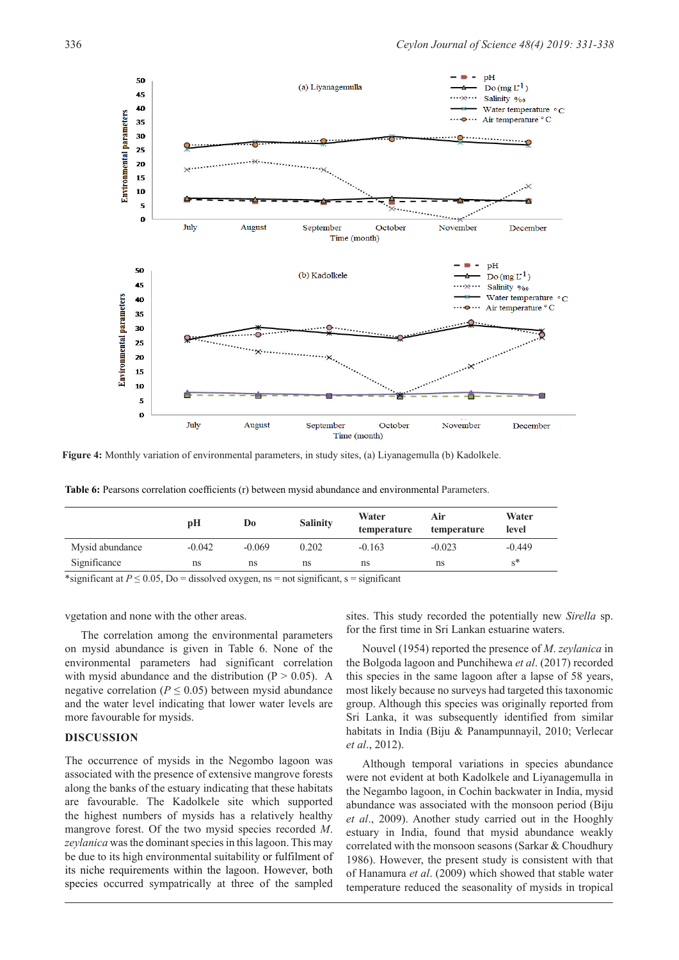

**Figure 4:** Monthly variation of environmental parameters, in study sites, (a) Liyanagemulla (b) Kadolkele.

**Table 6:** Pearsons correlation coefficients (r) between mysid abundance and environmental Parameters.

|                 | рH       | Do       | <b>Salinity</b> | Water<br>temperature | Air<br>temperature | Water<br>level |
|-----------------|----------|----------|-----------------|----------------------|--------------------|----------------|
| Mysid abundance | $-0.042$ | $-0.069$ | 0.202           | $-0.163$             | $-0.023$           | $-0.449$       |
| Significance    | ns       | ns       | ns              | ns                   | ns                 | $s^*$          |

\*significant at  $P \le 0.05$ , Do = dissolved oxygen, ns = not significant, s = significant

vgetation and none with the other areas.

The correlation among the environmental parameters on mysid abundance is given in Table 6. None of the environmental parameters had significant correlation with mysid abundance and the distribution ( $P > 0.05$ ). A negative correlation ( $P \leq 0.05$ ) between mysid abundance and the water level indicating that lower water levels are more favourable for mysids.

#### **DISCUSSION**

The occurrence of mysids in the Negombo lagoon was associated with the presence of extensive mangrove forests along the banks of the estuary indicating that these habitats are favourable. The Kadolkele site which supported the highest numbers of mysids has a relatively healthy mangrove forest. Of the two mysid species recorded *M*. *zeylanica* was the dominant species in this lagoon. This may be due to its high environmental suitability or fulfilment of its niche requirements within the lagoon. However, both species occurred sympatrically at three of the sampled

sites. This study recorded the potentially new *Sirella* sp. for the first time in Sri Lankan estuarine waters.

Nouvel (1954) reported the presence of *M*. *zeylanica* in the Bolgoda lagoon and Punchihewa *et al*. (2017) recorded this species in the same lagoon after a lapse of 58 years, most likely because no surveys had targeted this taxonomic group. Although this species was originally reported from Sri Lanka, it was subsequently identified from similar habitats in India (Biju & Panampunnayil, 2010; Verlecar *et al*., 2012).

Although temporal variations in species abundance were not evident at both Kadolkele and Liyanagemulla in the Negambo lagoon, in Cochin backwater in India, mysid abundance was associated with the monsoon period (Biju *et al*., 2009). Another study carried out in the Hooghly estuary in India, found that mysid abundance weakly correlated with the monsoon seasons (Sarkar & Choudhury 1986). However, the present study is consistent with that of Hanamura *et al*. (2009) which showed that stable water temperature reduced the seasonality of mysids in tropical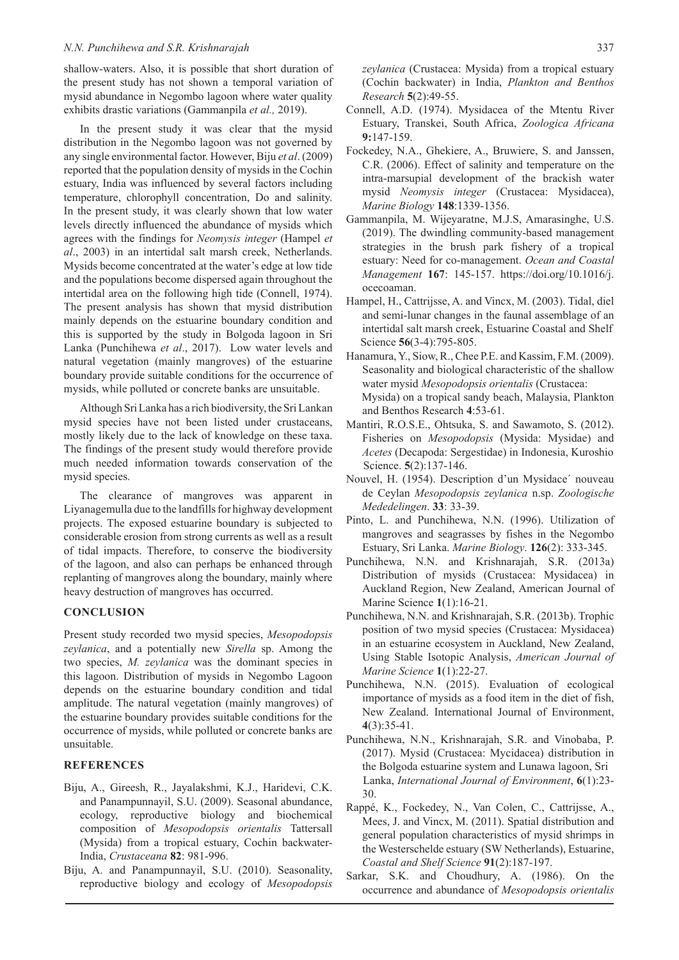#### *N.N. Punchihewa and S.R. Krishnarajah* 337

shallow-waters. Also, it is possible that short duration of the present study has not shown a temporal variation of mysid abundance in Negombo lagoon where water quality exhibits drastic variations (Gammanpila *et al.,* 2019).

In the present study it was clear that the mysid distribution in the Negombo lagoon was not governed by any single environmental factor. However, Biju *et al*. (2009) reported that the population density of mysids in the Cochin estuary, India was influenced by several factors including temperature, chlorophyll concentration, Do and salinity. In the present study, it was clearly shown that low water levels directly influenced the abundance of mysids which agrees with the findings for *Neomysis integer* (Hampel *et al*., 2003) in an intertidal salt marsh creek, Netherlands. Mysids become concentrated at the water's edge at low tide and the populations become dispersed again throughout the intertidal area on the following high tide (Connell, 1974). The present analysis has shown that mysid distribution mainly depends on the estuarine boundary condition and this is supported by the study in Bolgoda lagoon in Sri Lanka (Punchihewa *et al*., 2017). Low water levels and natural vegetation (mainly mangroves) of the estuarine boundary provide suitable conditions for the occurrence of mysids, while polluted or concrete banks are unsuitable.

Although Sri Lanka has a rich biodiversity, the Sri Lankan mysid species have not been listed under crustaceans, mostly likely due to the lack of knowledge on these taxa. The findings of the present study would therefore provide much needed information towards conservation of the mysid species.

The clearance of mangroves was apparent in Liyanagemulla due to the landfills for highway development projects. The exposed estuarine boundary is subjected to considerable erosion from strong currents as well as a result of tidal impacts. Therefore, to conserve the biodiversity of the lagoon, and also can perhaps be enhanced through replanting of mangroves along the boundary, mainly where heavy destruction of mangroves has occurred.

#### **CONCLUSION**

Present study recorded two mysid species, *Mesopodopsis zeylanica*, and a potentially new *Sirella* sp. Among the two species, *M. zeylanica* was the dominant species in this lagoon. Distribution of mysids in Negombo Lagoon depends on the estuarine boundary condition and tidal amplitude. The natural vegetation (mainly mangroves) of the estuarine boundary provides suitable conditions for the occurrence of mysids, while polluted or concrete banks are unsuitable.

### **REFERENCES**

- Biju, A., Gireesh, R., Jayalakshmi, K.J., Haridevi, C.K. and Panampunnayil, S.U. (2009). Seasonal abundance, ecology, reproductive biology and biochemical composition of *Mesopodopsis orientalis* Tattersall (Mysida) from a tropical estuary, Cochin backwater-India, *Crustaceana* **82**: 981-996.
- Biju, A. and Panampunnayil, S.U. (2010). Seasonality, reproductive biology and ecology of *Mesopodopsis*

*zeylanica* (Crustacea: Mysida) from a tropical estuary (Cochin backwater) in India, *Plankton and Benthos Research* **5**(2):49-55.

- Connell, A.D. (1974). Mysidacea of the Mtentu River Estuary, Transkei, South Africa, *Zoologica Africana*  **9:**147-159.
- Fockedey, N.A., Ghekiere, A., Bruwiere, S. and Janssen, C.R. (2006). Effect of salinity and temperature on the intra-marsupial development of the brackish water mysid *Neomysis integer* (Crustacea: Mysidacea), *Marine Biology* **148**:1339-1356.
- Gammanpila, M. Wijeyaratne, M.J.S, Amarasinghe, U.S. (2019). The dwindling community-based management strategies in the brush park fishery of a tropical estuary: Need for co-management. *Ocean and Coastal Management* **167**: 145-157. https://doi.org/10.1016/j. ocecoaman.
- Hampel, H., Cattrijsse, A. and Vincx, M. (2003). Tidal, diel and semi-lunar changes in the faunal assemblage of an intertidal salt marsh creek, Estuarine Coastal and Shelf Science **56**(3-4):795-805.
- Hanamura, Y., Siow, R., Chee P.E. and Kassim, F.M. (2009). Seasonality and biological characteristic of the shallow water mysid *Mesopodopsis orientalis* (Crustacea: Mysida) on a tropical sandy beach, Malaysia, Plankton and Benthos Research **4**:53-61.
- Mantiri, R.O.S.E., Ohtsuka, S. and Sawamoto, S. (2012). Fisheries on *Mesopodopsis* (Mysida: Mysidae) and *Acetes* (Decapoda: Sergestidae) in Indonesia, Kuroshio Science. **5**(2):137-146.
- Nouvel, H. (1954). Description d'un Mysidace´ nouveau de Ceylan *Mesopodopsis zeylanica* n.sp. *Zoologische Mededelingen*. **33**: 33-39.
- Pinto, L. and Punchihewa, N.N. (1996). Utilization of mangroves and seagrasses by fishes in the Negombo Estuary, Sri Lanka. *Marine Biology*. **126**(2): 333-345.
- Punchihewa, N.N. and Krishnarajah, S.R. (2013a) Distribution of mysids (Crustacea: Mysidacea) in Auckland Region, New Zealand, American Journal of Marine Science **1**(1):16-21.
- Punchihewa, N.N. and Krishnarajah, S.R. (2013b). Trophic position of two mysid species (Crustacea: Mysidacea) in an estuarine ecosystem in Auckland, New Zealand, Using Stable Isotopic Analysis, *American Journal of Marine Science* **1**(1):22-27.
- Punchihewa, N.N. (2015). Evaluation of ecological importance of mysids as a food item in the diet of fish, New Zealand. International Journal of Environment, **4**(3):35-41.
- Punchihewa, N.N., Krishnarajah, S.R. and Vinobaba, P. (2017). Mysid (Crustacea: Mycidacea) distribution in the Bolgoda estuarine system and Lunawa lagoon, Sri Lanka, *International Journal of Environment*, **6**(1):23- 30.
- Rappé, K., Fockedey, N., Van Colen, C., Cattrijsse, A., Mees, J. and Vincx, M. (2011). Spatial distribution and general population characteristics of mysid shrimps in the Westerschelde estuary (SW Netherlands), Estuarine, *Coastal and Shelf Science* **91**(2):187-197.
- Sarkar, S.K. and Choudhury, A. (1986). On the occurrence and abundance of *Mesopodopsis orientalis*